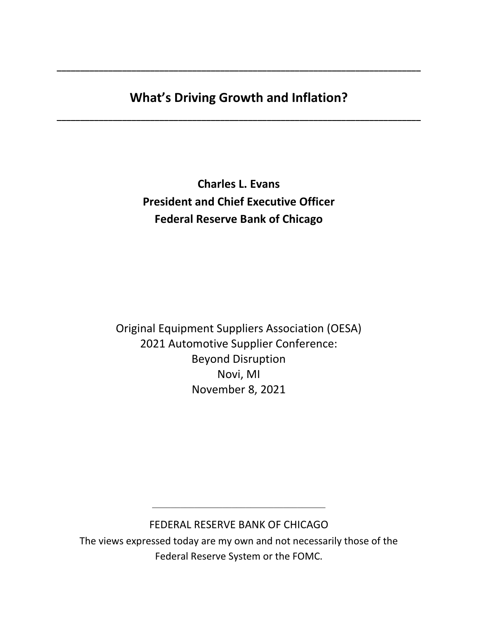# **What's Driving Growth and Inflation?**

**\_\_\_\_\_\_\_\_\_\_\_\_\_\_\_\_\_\_\_\_\_\_\_\_\_\_\_\_\_\_\_\_\_\_\_\_\_\_\_\_\_\_\_\_\_\_\_\_\_\_\_\_\_\_\_\_\_\_\_\_\_\_\_\_\_\_\_\_\_\_\_\_\_\_\_\_\_\_**

**\_\_\_\_\_\_\_\_\_\_\_\_\_\_\_\_\_\_\_\_\_\_\_\_\_\_\_\_\_\_\_\_\_\_\_\_\_\_\_\_\_\_\_\_\_\_\_\_\_\_\_\_\_\_\_\_\_\_\_\_\_\_\_\_\_\_\_\_\_\_\_\_\_\_\_\_\_\_**

**Charles L. Evans President and Chief Executive Officer Federal Reserve Bank of Chicago**

Original Equipment Suppliers Association (OESA) 2021 Automotive Supplier Conference: Beyond Disruption Novi, MI November 8, 2021

# FEDERAL RESERVE BANK OF CHICAGO

\_\_\_\_\_\_\_\_\_\_\_\_\_\_\_\_\_\_\_\_\_\_\_\_\_\_\_\_\_\_\_\_\_\_\_\_\_

The views expressed today are my own and not necessarily those of the Federal Reserve System or the FOMC.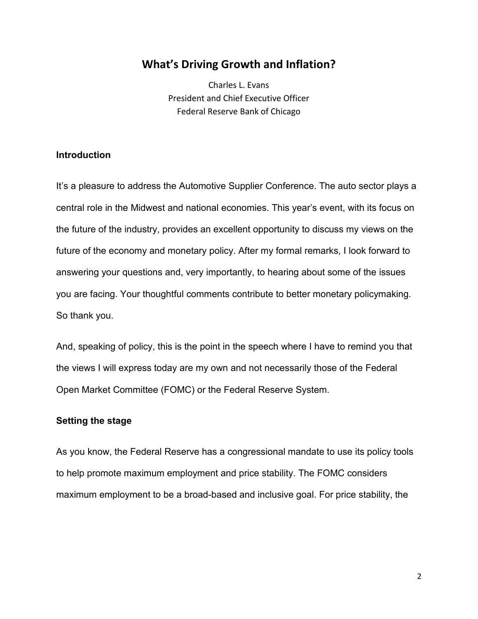# **What's Driving Growth and Inflation?**

Charles L. Evans President and Chief Executive Officer Federal Reserve Bank of Chicago

### **Introduction**

It's a pleasure to address the Automotive Supplier Conference. The auto sector plays a central role in the Midwest and national economies. This year's event, with its focus on the future of the industry, provides an excellent opportunity to discuss my views on the future of the economy and monetary policy. After my formal remarks, I look forward to answering your questions and, very importantly, to hearing about some of the issues you are facing. Your thoughtful comments contribute to better monetary policymaking. So thank you.

And, speaking of policy, this is the point in the speech where I have to remind you that the views I will express today are my own and not necessarily those of the Federal Open Market Committee (FOMC) or the Federal Reserve System.

#### **Setting the stage**

As you know, the Federal Reserve has a congressional mandate to use its policy tools to help promote maximum employment and price stability. The FOMC considers maximum employment to be a broad-based and inclusive goal. For price stability, the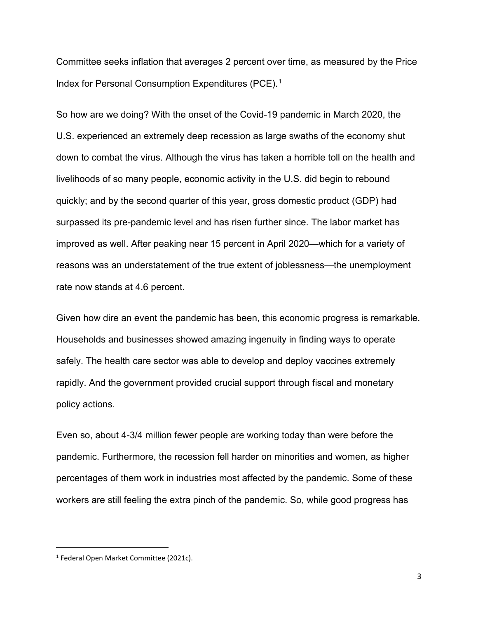Committee seeks inflation that averages 2 percent over time, as measured by the Price Index for Personal Consumption Expenditures (PCE).<sup>[1](#page-2-0)</sup>

So how are we doing? With the onset of the Covid-19 pandemic in March 2020, the U.S. experienced an extremely deep recession as large swaths of the economy shut down to combat the virus. Although the virus has taken a horrible toll on the health and livelihoods of so many people, economic activity in the U.S. did begin to rebound quickly; and by the second quarter of this year, gross domestic product (GDP) had surpassed its pre-pandemic level and has risen further since. The labor market has improved as well. After peaking near 15 percent in April 2020—which for a variety of reasons was an understatement of the true extent of joblessness—the unemployment rate now stands at 4.6 percent.

Given how dire an event the pandemic has been, this economic progress is remarkable. Households and businesses showed amazing ingenuity in finding ways to operate safely. The health care sector was able to develop and deploy vaccines extremely rapidly. And the government provided crucial support through fiscal and monetary policy actions.

Even so, about 4-3/4 million fewer people are working today than were before the pandemic. Furthermore, the recession fell harder on minorities and women, as higher percentages of them work in industries most affected by the pandemic. Some of these workers are still feeling the extra pinch of the pandemic. So, while good progress has

<span id="page-2-0"></span><sup>1</sup> Federal Open Market Committee (2021c).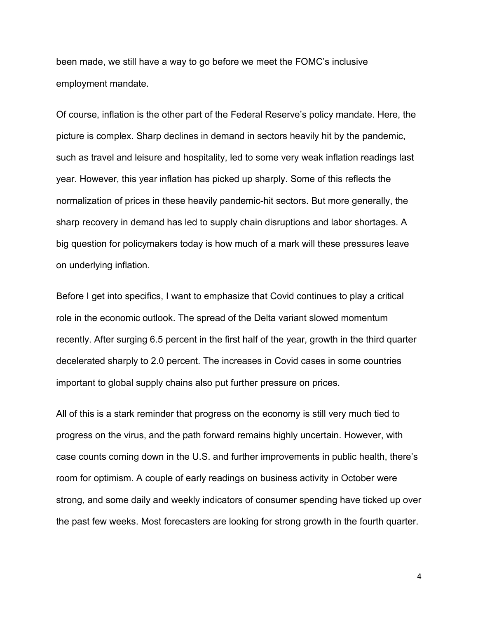been made, we still have a way to go before we meet the FOMC's inclusive employment mandate.

Of course, inflation is the other part of the Federal Reserve's policy mandate. Here, the picture is complex. Sharp declines in demand in sectors heavily hit by the pandemic, such as travel and leisure and hospitality, led to some very weak inflation readings last year. However, this year inflation has picked up sharply. Some of this reflects the normalization of prices in these heavily pandemic-hit sectors. But more generally, the sharp recovery in demand has led to supply chain disruptions and labor shortages. A big question for policymakers today is how much of a mark will these pressures leave on underlying inflation.

Before I get into specifics, I want to emphasize that Covid continues to play a critical role in the economic outlook. The spread of the Delta variant slowed momentum recently. After surging 6.5 percent in the first half of the year, growth in the third quarter decelerated sharply to 2.0 percent. The increases in Covid cases in some countries important to global supply chains also put further pressure on prices.

All of this is a stark reminder that progress on the economy is still very much tied to progress on the virus, and the path forward remains highly uncertain. However, with case counts coming down in the U.S. and further improvements in public health, there's room for optimism. A couple of early readings on business activity in October were strong, and some daily and weekly indicators of consumer spending have ticked up over the past few weeks. Most forecasters are looking for strong growth in the fourth quarter.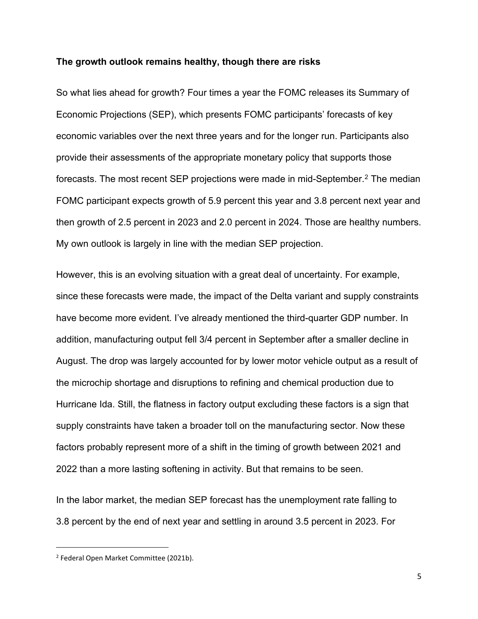#### **The growth outlook remains healthy, though there are risks**

So what lies ahead for growth? Four times a year the FOMC releases its Summary of Economic Projections (SEP), which presents FOMC participants' forecasts of key economic variables over the next three years and for the longer run. Participants also provide their assessments of the appropriate monetary policy that supports those forecasts. The most recent SEP projections were made in mid-September.<sup>2</sup> The median FOMC participant expects growth of 5.9 percent this year and 3.8 percent next year and then growth of 2.5 percent in 2023 and 2.0 percent in 2024. Those are healthy numbers. My own outlook is largely in line with the median SEP projection.

However, this is an evolving situation with a great deal of uncertainty. For example, since these forecasts were made, the impact of the Delta variant and supply constraints have become more evident. I've already mentioned the third-quarter GDP number. In addition, manufacturing output fell 3/4 percent in September after a smaller decline in August. The drop was largely accounted for by lower motor vehicle output as a result of the microchip shortage and disruptions to refining and chemical production due to Hurricane Ida. Still, the flatness in factory output excluding these factors is a sign that supply constraints have taken a broader toll on the manufacturing sector. Now these factors probably represent more of a shift in the timing of growth between 2021 and 2022 than a more lasting softening in activity. But that remains to be seen.

In the labor market, the median SEP forecast has the unemployment rate falling to 3.8 percent by the end of next year and settling in around 3.5 percent in 2023. For

<span id="page-4-0"></span><sup>2</sup> Federal Open Market Committee (2021b).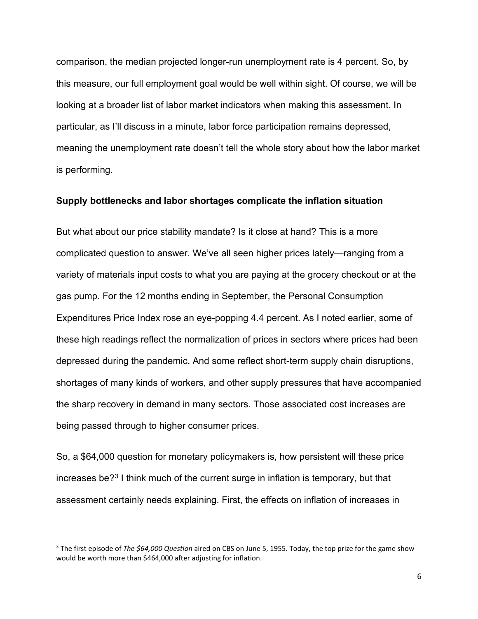comparison, the median projected longer-run unemployment rate is 4 percent. So, by this measure, our full employment goal would be well within sight. Of course, we will be looking at a broader list of labor market indicators when making this assessment. In particular, as I'll discuss in a minute, labor force participation remains depressed, meaning the unemployment rate doesn't tell the whole story about how the labor market is performing.

#### **Supply bottlenecks and labor shortages complicate the inflation situation**

But what about our price stability mandate? Is it close at hand? This is a more complicated question to answer. We've all seen higher prices lately—ranging from a variety of materials input costs to what you are paying at the grocery checkout or at the gas pump. For the 12 months ending in September, the Personal Consumption Expenditures Price Index rose an eye-popping 4.4 percent. As I noted earlier, some of these high readings reflect the normalization of prices in sectors where prices had been depressed during the pandemic. And some reflect short-term supply chain disruptions, shortages of many kinds of workers, and other supply pressures that have accompanied the sharp recovery in demand in many sectors. Those associated cost increases are being passed through to higher consumer prices.

So, a \$64,000 question for monetary policymakers is, how persistent will these price increases be?[3](#page-5-0) I think much of the current surge in inflation is temporary, but that assessment certainly needs explaining. First, the effects on inflation of increases in

<span id="page-5-0"></span><sup>3</sup> The first episode of *The \$64,000 Question* aired on CBS on June 5, 1955. Today, the top prize for the game show would be worth more than \$464,000 after adjusting for inflation.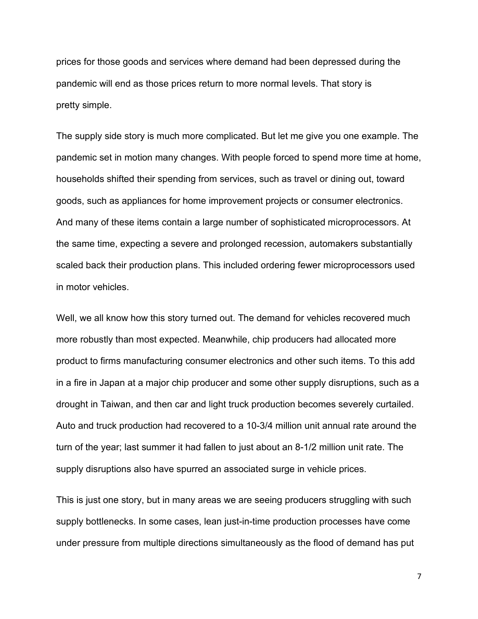prices for those goods and services where demand had been depressed during the pandemic will end as those prices return to more normal levels. That story is pretty simple.

The supply side story is much more complicated. But let me give you one example. The pandemic set in motion many changes. With people forced to spend more time at home, households shifted their spending from services, such as travel or dining out, toward goods, such as appliances for home improvement projects or consumer electronics. And many of these items contain a large number of sophisticated microprocessors. At the same time, expecting a severe and prolonged recession, automakers substantially scaled back their production plans. This included ordering fewer microprocessors used in motor vehicles.

Well, we all know how this story turned out. The demand for vehicles recovered much more robustly than most expected. Meanwhile, chip producers had allocated more product to firms manufacturing consumer electronics and other such items. To this add in a fire in Japan at a major chip producer and some other supply disruptions, such as a drought in Taiwan, and then car and light truck production becomes severely curtailed. Auto and truck production had recovered to a 10-3/4 million unit annual rate around the turn of the year; last summer it had fallen to just about an 8-1/2 million unit rate. The supply disruptions also have spurred an associated surge in vehicle prices.

This is just one story, but in many areas we are seeing producers struggling with such supply bottlenecks. In some cases, lean just-in-time production processes have come under pressure from multiple directions simultaneously as the flood of demand has put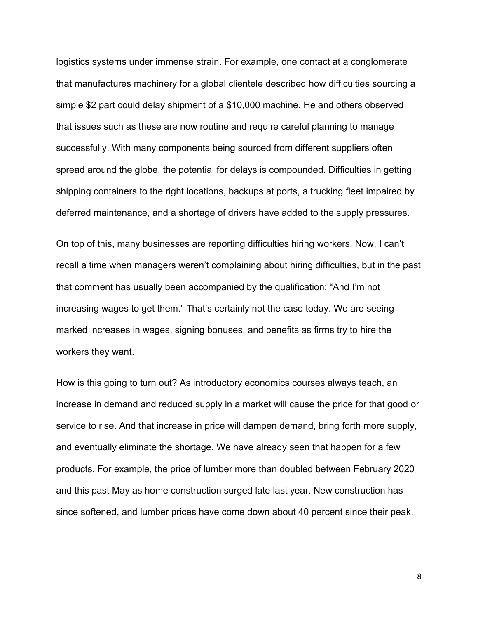logistics systems under immense strain. For example, one contact at a conglomerate that manufactures machinery for a global clientele described how difficulties sourcing a simple \$2 part could delay shipment of a \$10,000 machine. He and others observed that issues such as these are now routine and require careful planning to manage successfully. With many components being sourced from different suppliers often spread around the globe, the potential for delays is compounded. Difficulties in getting shipping containers to the right locations, backups at ports, a trucking fleet impaired by deferred maintenance, and a shortage of drivers have added to the supply pressures.

On top of this, many businesses are reporting difficulties hiring workers. Now, I can't recall a time when managers weren't complaining about hiring difficulties, but in the past that comment has usually been accompanied by the qualification: "And I'm not increasing wages to get them." That's certainly not the case today. We are seeing marked increases in wages, signing bonuses, and benefits as firms try to hire the workers they want.

How is this going to turn out? As introductory economics courses always teach, an increase in demand and reduced supply in a market will cause the price for that good or service to rise. And that increase in price will dampen demand, bring forth more supply, and eventually eliminate the shortage. We have already seen that happen for a few products. For example, the price of lumber more than doubled between February 2020 and this past May as home construction surged late last year. New construction has since softened, and lumber prices have come down about 40 percent since their peak.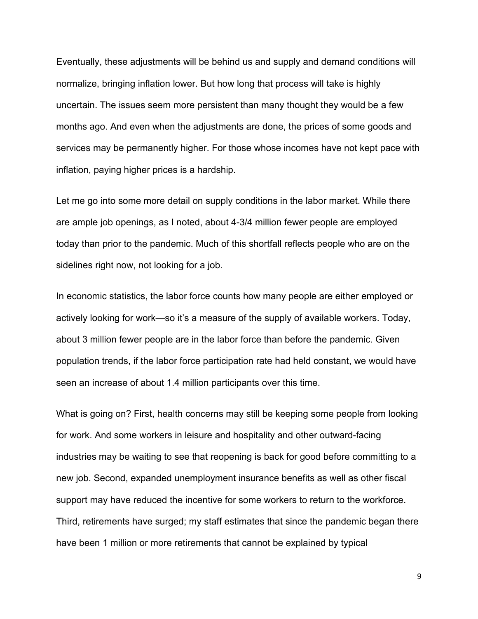Eventually, these adjustments will be behind us and supply and demand conditions will normalize, bringing inflation lower. But how long that process will take is highly uncertain. The issues seem more persistent than many thought they would be a few months ago. And even when the adjustments are done, the prices of some goods and services may be permanently higher. For those whose incomes have not kept pace with inflation, paying higher prices is a hardship.

Let me go into some more detail on supply conditions in the labor market. While there are ample job openings, as I noted, about 4-3/4 million fewer people are employed today than prior to the pandemic. Much of this shortfall reflects people who are on the sidelines right now, not looking for a job.

In economic statistics, the labor force counts how many people are either employed or actively looking for work—so it's a measure of the supply of available workers. Today, about 3 million fewer people are in the labor force than before the pandemic. Given population trends, if the labor force participation rate had held constant, we would have seen an increase of about 1.4 million participants over this time.

What is going on? First, health concerns may still be keeping some people from looking for work. And some workers in leisure and hospitality and other outward-facing industries may be waiting to see that reopening is back for good before committing to a new job. Second, expanded unemployment insurance benefits as well as other fiscal support may have reduced the incentive for some workers to return to the workforce. Third, retirements have surged; my staff estimates that since the pandemic began there have been 1 million or more retirements that cannot be explained by typical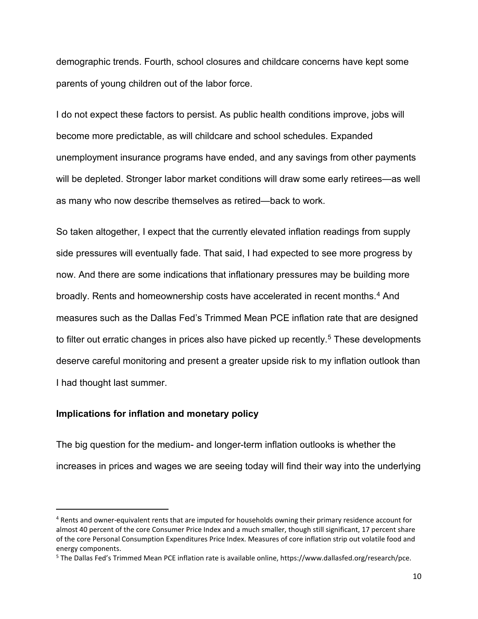demographic trends. Fourth, school closures and childcare concerns have kept some parents of young children out of the labor force.

I do not expect these factors to persist. As public health conditions improve, jobs will become more predictable, as will childcare and school schedules. Expanded unemployment insurance programs have ended, and any savings from other payments will be depleted. Stronger labor market conditions will draw some early retirees—as well as many who now describe themselves as retired—back to work.

So taken altogether, I expect that the currently elevated inflation readings from supply side pressures will eventually fade. That said, I had expected to see more progress by now. And there are some indications that inflationary pressures may be building more broadly. Rents and homeownership costs have accelerated in recent months.<sup>[4](#page-9-0)</sup> And measures such as the Dallas Fed's Trimmed Mean PCE inflation rate that are designed to filter out erratic changes in prices also have picked up recently.<sup>[5](#page-9-1)</sup> These developments deserve careful monitoring and present a greater upside risk to my inflation outlook than I had thought last summer.

### **Implications for inflation and monetary policy**

The big question for the medium- and longer-term inflation outlooks is whether the increases in prices and wages we are seeing today will find their way into the underlying

<span id="page-9-0"></span><sup>4</sup> Rents and owner-equivalent rents that are imputed for households owning their primary residence account for almost 40 percent of the core Consumer Price Index and a much smaller, though still significant, 17 percent share of the core Personal Consumption Expenditures Price Index. Measures of core inflation strip out volatile food and energy components.

<span id="page-9-1"></span><sup>5</sup> The Dallas Fed's Trimmed Mean PCE inflation rate is available online, https://www.dallasfed.org/research/pce.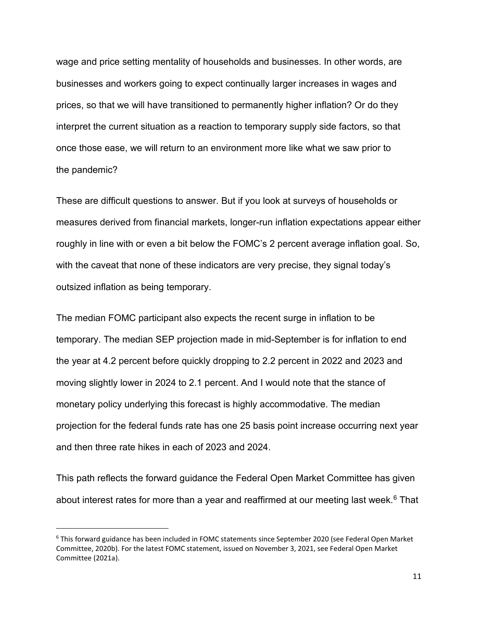wage and price setting mentality of households and businesses. In other words, are businesses and workers going to expect continually larger increases in wages and prices, so that we will have transitioned to permanently higher inflation? Or do they interpret the current situation as a reaction to temporary supply side factors, so that once those ease, we will return to an environment more like what we saw prior to the pandemic?

These are difficult questions to answer. But if you look at surveys of households or measures derived from financial markets, longer-run inflation expectations appear either roughly in line with or even a bit below the FOMC's 2 percent average inflation goal. So, with the caveat that none of these indicators are very precise, they signal today's outsized inflation as being temporary.

The median FOMC participant also expects the recent surge in inflation to be temporary. The median SEP projection made in mid-September is for inflation to end the year at 4.2 percent before quickly dropping to 2.2 percent in 2022 and 2023 and moving slightly lower in 2024 to 2.1 percent. And I would note that the stance of monetary policy underlying this forecast is highly accommodative. The median projection for the federal funds rate has one 25 basis point increase occurring next year and then three rate hikes in each of 2023 and 2024.

This path reflects the forward guidance the Federal Open Market Committee has given about interest rates for more than a year and reaffirmed at our meeting last week. $6$  That

<span id="page-10-0"></span><sup>6</sup> This forward guidance has been included in FOMC statements since September 2020 (see Federal Open Market Committee, 2020b). For the latest FOMC statement, issued on November 3, 2021, see Federal Open Market Committee (2021a).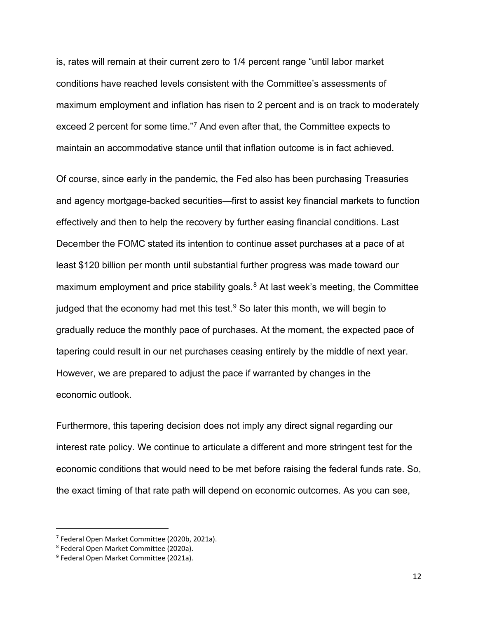is, rates will remain at their current zero to 1/4 percent range "until labor market conditions have reached levels consistent with the Committee's assessments of maximum employment and inflation has risen to 2 percent and is on track to moderately exceed 2 percent for some time."[7](#page-11-0) And even after that, the Committee expects to maintain an accommodative stance until that inflation outcome is in fact achieved.

Of course, since early in the pandemic, the Fed also has been purchasing Treasuries and agency mortgage-backed securities—first to assist key financial markets to function effectively and then to help the recovery by further easing financial conditions. Last December the FOMC stated its intention to continue asset purchases at a pace of at least \$120 billion per month until substantial further progress was made toward our maximum employment and price stability goals.<sup>[8](#page-11-1)</sup> At last week's meeting, the Committee judged that the economy had met this test. $9$  So later this month, we will begin to gradually reduce the monthly pace of purchases. At the moment, the expected pace of tapering could result in our net purchases ceasing entirely by the middle of next year. However, we are prepared to adjust the pace if warranted by changes in the economic outlook.

Furthermore, this tapering decision does not imply any direct signal regarding our interest rate policy. We continue to articulate a different and more stringent test for the economic conditions that would need to be met before raising the federal funds rate. So, the exact timing of that rate path will depend on economic outcomes. As you can see,

<span id="page-11-0"></span><sup>7</sup> Federal Open Market Committee (2020b, 2021a).

<span id="page-11-1"></span><sup>8</sup> Federal Open Market Committee (2020a).

<span id="page-11-2"></span><sup>9</sup> Federal Open Market Committee (2021a).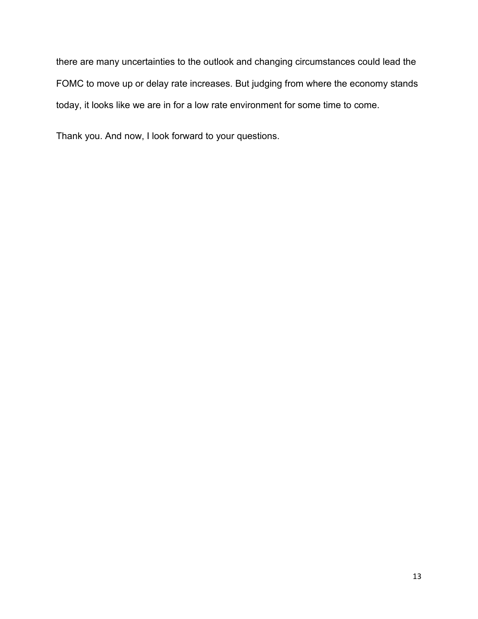there are many uncertainties to the outlook and changing circumstances could lead the FOMC to move up or delay rate increases. But judging from where the economy stands today, it looks like we are in for a low rate environment for some time to come.

Thank you. And now, I look forward to your questions.